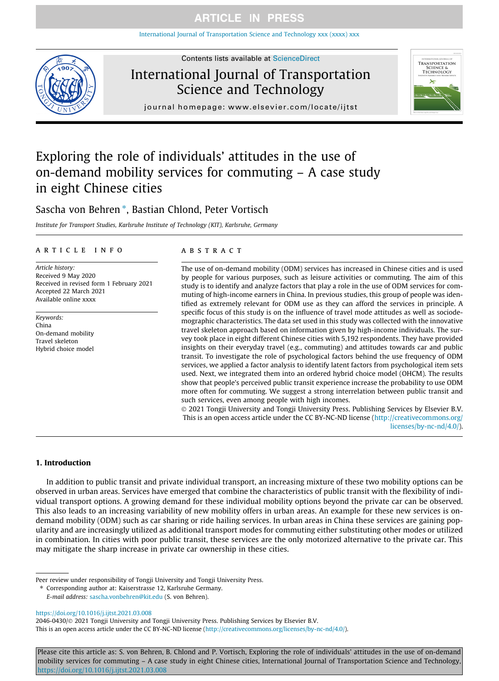[International Journal of Transportation Science and Technology xxx \(xxxx\) xxx](https://doi.org/10.1016/j.ijtst.2021.03.008)



# International Journal of Transportation Science and Technology



journal homepage: [www.elsevier.com/locate/ijtst](http://www.elsevier.com/locate/ijtst)

# Exploring the role of individuals' attitudes in the use of on-demand mobility services for commuting – A case study in eight Chinese cities

### Sascha von Behren\*, Bastian Chlond, Peter Vortisch

Institute for Transport Studies, Karlsruhe Institute of Technology (KIT), Karlsruhe, Germany

### article info

Article history: Received 9 May 2020 Received in revised form 1 February 2021 Accepted 22 March 2021 Available online xxxx

Keywords: China On-demand mobility Travel skeleton Hybrid choice model

### **ABSTRACT**

The use of on-demand mobility (ODM) services has increased in Chinese cities and is used by people for various purposes, such as leisure activities or commuting. The aim of this study is to identify and analyze factors that play a role in the use of ODM services for commuting of high-income earners in China. In previous studies, this group of people was identified as extremely relevant for ODM use as they can afford the services in principle. A specific focus of this study is on the influence of travel mode attitudes as well as sociodemographic characteristics. The data set used in this study was collected with the innovative travel skeleton approach based on information given by high-income individuals. The survey took place in eight different Chinese cities with 5,192 respondents. They have provided insights on their everyday travel (e.g., commuting) and attitudes towards car and public transit. To investigate the role of psychological factors behind the use frequency of ODM services, we applied a factor analysis to identify latent factors from psychological item sets used. Next, we integrated them into an ordered hybrid choice model (OHCM). The results show that people's perceived public transit experience increase the probability to use ODM more often for commuting. We suggest a strong interrelation between public transit and such services, even among people with high incomes.

 2021 Tongji University and Tongji University Press. Publishing Services by Elsevier B.V. This is an open access article under the CC BY-NC-ND license ([http://creativecommons.org/](http://creativecommons.org/licenses/by-nc-nd/4.0/) [licenses/by-nc-nd/4.0/\)](http://creativecommons.org/licenses/by-nc-nd/4.0/).

### 1. Introduction

In addition to public transit and private individual transport, an increasing mixture of these two mobility options can be observed in urban areas. Services have emerged that combine the characteristics of public transit with the flexibility of individual transport options. A growing demand for these individual mobility options beyond the private car can be observed. This also leads to an increasing variability of new mobility offers in urban areas. An example for these new services is ondemand mobility (ODM) such as car sharing or ride hailing services. In urban areas in China these services are gaining popularity and are increasingly utilized as additional transport modes for commuting either substituting other modes or utilized in combination. In cities with poor public transit, these services are the only motorized alternative to the private car. This may mitigate the sharp increase in private car ownership in these cities.

<https://doi.org/10.1016/j.ijtst.2021.03.008>

2046-0430/@ 2021 Tongji University and Tongji University Press. Publishing Services by Elsevier B.V.

This is an open access article under the CC BY-NC-ND license [\(http://creativecommons.org/licenses/by-nc-nd/4.0/](http://creativecommons.org/licenses/by-nc-nd/4.0/)).

Please cite this article as: S. von Behren, B. Chlond and P. Vortisch, Exploring the role of individuals' attitudes in the use of on-demand mobility services for commuting – A case study in eight Chinese cities, International Journal of Transportation Science and Technology, <https://doi.org/10.1016/j.ijtst.2021.03.008>

Peer review under responsibility of Tongji University and Tongji University Press.

<sup>⇑</sup> Corresponding author at: Kaiserstrasse 12, Karlsruhe Germany.

E-mail address: [sascha.vonbehren@kit.edu](mailto:sascha.vonbehren@kit.edu) (S. von Behren).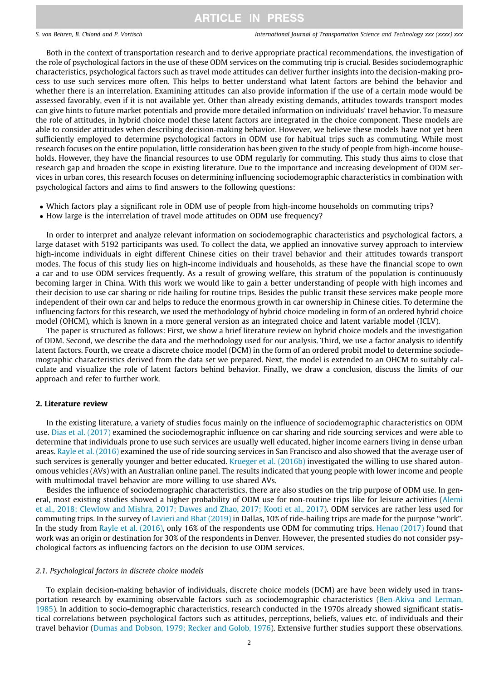S. von Behren, B. Chlond and P. Vortisch International Journal of Transportation Science and Technology xxx (xxxx) xxx

Both in the context of transportation research and to derive appropriate practical recommendations, the investigation of the role of psychological factors in the use of these ODM services on the commuting trip is crucial. Besides sociodemographic characteristics, psychological factors such as travel mode attitudes can deliver further insights into the decision-making process to use such services more often. This helps to better understand what latent factors are behind the behavior and whether there is an interrelation. Examining attitudes can also provide information if the use of a certain mode would be assessed favorably, even if it is not available yet. Other than already existing demands, attitudes towards transport modes can give hints to future market potentials and provide more detailed information on individuals' travel behavior. To measure the role of attitudes, in hybrid choice model these latent factors are integrated in the choice component. These models are able to consider attitudes when describing decision-making behavior. However, we believe these models have not yet been sufficiently employed to determine psychological factors in ODM use for habitual trips such as commuting. While most research focuses on the entire population, little consideration has been given to the study of people from high-income households. However, they have the financial resources to use ODM regularly for commuting. This study thus aims to close that research gap and broaden the scope in existing literature. Due to the importance and increasing development of ODM services in urban cores, this research focuses on determining influencing sociodemographic characteristics in combination with psychological factors and aims to find answers to the following questions:

- Which factors play a significant role in ODM use of people from high-income households on commuting trips?
- How large is the interrelation of travel mode attitudes on ODM use frequency?

In order to interpret and analyze relevant information on sociodemographic characteristics and psychological factors, a large dataset with 5192 participants was used. To collect the data, we applied an innovative survey approach to interview high-income individuals in eight different Chinese cities on their travel behavior and their attitudes towards transport modes. The focus of this study lies on high-income individuals and households, as these have the financial scope to own a car and to use ODM services frequently. As a result of growing welfare, this stratum of the population is continuously becoming larger in China. With this work we would like to gain a better understanding of people with high incomes and their decision to use car sharing or ride hailing for routine trips. Besides the public transit these services make people more independent of their own car and helps to reduce the enormous growth in car ownership in Chinese cities. To determine the influencing factors for this research, we used the methodology of hybrid choice modeling in form of an ordered hybrid choice model (OHCM), which is known in a more general version as an integrated choice and latent variable model (ICLV).

The paper is structured as follows: First, we show a brief literature review on hybrid choice models and the investigation of ODM. Second, we describe the data and the methodology used for our analysis. Third, we use a factor analysis to identify latent factors. Fourth, we create a discrete choice model (DCM) in the form of an ordered probit model to determine sociodemographic characteristics derived from the data set we prepared. Next, the model is extended to an OHCM to suitably calculate and visualize the role of latent factors behind behavior. Finally, we draw a conclusion, discuss the limits of our approach and refer to further work.

### 2. Literature review

In the existing literature, a variety of studies focus mainly on the influence of sociodemographic characteristics on ODM use. [Dias et al. \(2017\)](#page-12-0) examined the sociodemographic influence on car sharing and ride sourcing services and were able to determine that individuals prone to use such services are usually well educated, higher income earners living in dense urban areas. [Rayle et al. \(2016\)](#page-13-0) examined the use of ride sourcing services in San Francisco and also showed that the average user of such services is generally younger and better educated. [Krueger et al. \(2016b\)](#page-13-0) investigated the willing to use shared autonomous vehicles (AVs) with an Australian online panel. The results indicated that young people with lower income and people with multimodal travel behavior are more willing to use shared AVs.

Besides the influence of sociodemographic characteristics, there are also studies on the trip purpose of ODM use. In general, most existing studies showed a higher probability of ODM use for non-routine trips like for leisure activities [\(Alemi](#page-12-0) [et al., 2018; Clewlow and Mishra, 2017; Dawes and Zhao, 2017; Kooti et al., 2017\)](#page-12-0). ODM services are rather less used for commuting trips. In the survey of [Lavieri and Bhat \(2019\)](#page-13-0) in Dallas, 10% of ride-hailing trips are made for the purpose ''work". In the study from [Rayle et al. \(2016\),](#page-13-0) only 16% of the respondents use ODM for commuting trips. [Henao \(2017\)](#page-12-0) found that work was an origin or destination for 30% of the respondents in Denver. However, the presented studies do not consider psychological factors as influencing factors on the decision to use ODM services.

### 2.1. Psychological factors in discrete choice models

To explain decision-making behavior of individuals, discrete choice models (DCM) are have been widely used in transportation research by examining observable factors such as sociodemographic characteristics [\(Ben-Akiva and Lerman,](#page-12-0) [1985](#page-12-0)). In addition to socio-demographic characteristics, research conducted in the 1970s already showed significant statistical correlations between psychological factors such as attitudes, perceptions, beliefs, values etc. of individuals and their travel behavior [\(Dumas and Dobson, 1979; Recker and Golob, 1976\)](#page-12-0). Extensive further studies support these observations.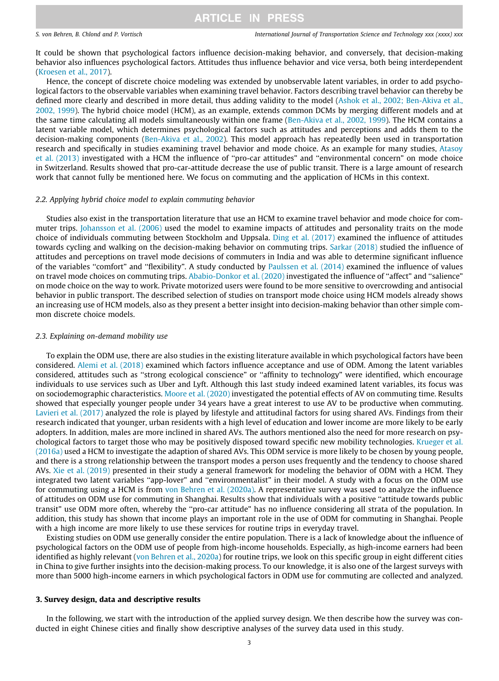S. von Behren, B. Chlond and P. Vortisch International Journal of Transportation Science and Technology xxx (xxxx) xxx

It could be shown that psychological factors influence decision-making behavior, and conversely, that decision-making behavior also influences psychological factors. Attitudes thus influence behavior and vice versa, both being interdependent [\(Kroesen et al., 2017](#page-13-0)).

Hence, the concept of discrete choice modeling was extended by unobservable latent variables, in order to add psychological factors to the observable variables when examining travel behavior. Factors describing travel behavior can thereby be defined more clearly and described in more detail, thus adding validity to the model [\(Ashok et al., 2002; Ben-Akiva et al.,](#page-12-0) [2002, 1999\)](#page-12-0). The hybrid choice model (HCM), as an example, extends common DCMs by merging different models and at the same time calculating all models simultaneously within one frame [\(Ben-Akiva et al., 2002, 1999](#page-12-0)). The HCM contains a latent variable model, which determines psychological factors such as attitudes and perceptions and adds them to the decision-making components [\(Ben-Akiva et al., 2002\)](#page-12-0). This model approach has repeatedly been used in transportation research and specifically in studies examining travel behavior and mode choice. As an example for many studies, [Atasoy](#page-12-0) [et al. \(2013\)](#page-12-0) investigated with a HCM the influence of ''pro-car attitudes" and ''environmental concern" on mode choice in Switzerland. Results showed that pro-car-attitude decrease the use of public transit. There is a large amount of research work that cannot fully be mentioned here. We focus on commuting and the application of HCMs in this context.

### 2.2. Applying hybrid choice model to explain commuting behavior

Studies also exist in the transportation literature that use an HCM to examine travel behavior and mode choice for commuter trips. [Johansson et al. \(2006\)](#page-13-0) used the model to examine impacts of attitudes and personality traits on the mode choice of individuals commuting between Stockholm and Uppsala. [Ding et al. \(2017\)](#page-12-0) examined the influence of attitudes towards cycling and walking on the decision-making behavior on commuting trips. [Sarkar \(2018\)](#page-13-0) studied the influence of attitudes and perceptions on travel mode decisions of commuters in India and was able to determine significant influence of the variables ''comfort" and ''flexibility". A study conducted by [Paulssen et al. \(2014\)](#page-13-0) examined the influence of values on travel mode choices on commuting trips. [Ababio-Donkor et al. \(2020\)](#page-12-0) investigated the influence of ''affect" and ''salience" on mode choice on the way to work. Private motorized users were found to be more sensitive to overcrowding and antisocial behavior in public transport. The described selection of studies on transport mode choice using HCM models already shows an increasing use of HCM models, also as they present a better insight into decision-making behavior than other simple common discrete choice models.

### 2.3. Explaining on-demand mobility use

To explain the ODM use, there are also studies in the existing literature available in which psychological factors have been considered. [Alemi et al. \(2018\)](#page-12-0) examined which factors influence acceptance and use of ODM. Among the latent variables considered, attitudes such as ''strong ecological conscience" or ''affinity to technology" were identified, which encourage individuals to use services such as Uber and Lyft. Although this last study indeed examined latent variables, its focus was on sociodemographic characteristics. [Moore et al. \(2020\)](#page-13-0) investigated the potential effects of AV on commuting time. Results showed that especially younger people under 34 years have a great interest to use AV to be productive when commuting. [Lavieri et al. \(2017\)](#page-13-0) analyzed the role is played by lifestyle and attitudinal factors for using shared AVs. Findings from their research indicated that younger, urban residents with a high level of education and lower income are more likely to be early adopters. In addition, males are more inclined in shared AVs. The authors mentioned also the need for more research on psychological factors to target those who may be positively disposed toward specific new mobility technologies. [Krueger et al.](#page-13-0) [\(2016a\)](#page-13-0) used a HCM to investigate the adaption of shared AVs. This ODM service is more likely to be chosen by young people, and there is a strong relationship between the transport modes a person uses frequently and the tendency to choose shared AVs. [Xie et al. \(2019\)](#page-13-0) presented in their study a general framework for modeling the behavior of ODM with a HCM. They integrated two latent variables ''app-lover" and ''environmentalist" in their model. A study with a focus on the ODM use for commuting using a HCM is from [von Behren et al. \(2020a\)](#page-13-0). A representative survey was used to analyze the influence of attitudes on ODM use for commuting in Shanghai. Results show that individuals with a positive ''attitude towards public transit" use ODM more often, whereby the ''pro-car attitude" has no influence considering all strata of the population. In addition, this study has shown that income plays an important role in the use of ODM for commuting in Shanghai. People with a high income are more likely to use these services for routine trips in everyday travel.

Existing studies on ODM use generally consider the entire population. There is a lack of knowledge about the influence of psychological factors on the ODM use of people from high-income households. Especially, as high-income earners had been identified as highly relevant ([von Behren et al., 2020a\)](#page-13-0) for routine trips, we look on this specific group in eight different cities in China to give further insights into the decision-making process. To our knowledge, it is also one of the largest surveys with more than 5000 high-income earners in which psychological factors in ODM use for commuting are collected and analyzed.

### 3. Survey design, data and descriptive results

In the following, we start with the introduction of the applied survey design. We then describe how the survey was conducted in eight Chinese cities and finally show descriptive analyses of the survey data used in this study.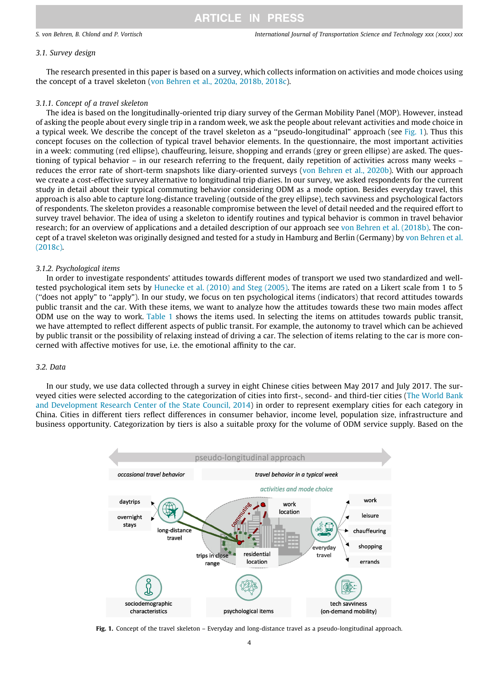### 3.1. Survey design

The research presented in this paper is based on a survey, which collects information on activities and mode choices using the concept of a travel skeleton ([von Behren et al., 2020a, 2018b, 2018c\)](#page-13-0).

### 3.1.1. Concept of a travel skeleton

The idea is based on the longitudinally-oriented trip diary survey of the German Mobility Panel (MOP). However, instead of asking the people about every single trip in a random week, we ask the people about relevant activities and mode choice in a typical week. We describe the concept of the travel skeleton as a "pseudo-longitudinal" approach (see Fig. 1). Thus this concept focuses on the collection of typical travel behavior elements. In the questionnaire, the most important activities in a week: commuting (red ellipse), chauffeuring, leisure, shopping and errands (grey or green ellipse) are asked. The questioning of typical behavior – in our research referring to the frequent, daily repetition of activities across many weeks – reduces the error rate of short-term snapshots like diary-oriented surveys [\(von Behren et al., 2020b](#page-13-0)). With our approach we create a cost-effective survey alternative to longitudinal trip diaries. In our survey, we asked respondents for the current study in detail about their typical commuting behavior considering ODM as a mode option. Besides everyday travel, this approach is also able to capture long-distance traveling (outside of the grey ellipse), tech savviness and psychological factors of respondents. The skeleton provides a reasonable compromise between the level of detail needed and the required effort to survey travel behavior. The idea of using a skeleton to identify routines and typical behavior is common in travel behavior research; for an overview of applications and a detailed description of our approach see [von Behren et al. \(2018b\)](#page-13-0). The concept of a travel skeleton was originally designed and tested for a study in Hamburg and Berlin (Germany) by [von Behren et al.](#page-13-0) [\(2018c\).](#page-13-0)

### 3.1.2. Psychological items

In order to investigate respondents' attitudes towards different modes of transport we used two standardized and welltested psychological item sets by [Hunecke et al. \(2010\) and Steg \(2005\).](#page-13-0) The items are rated on a Likert scale from 1 to 5 (''does not apply" to ''apply"). In our study, we focus on ten psychological items (indicators) that record attitudes towards public transit and the car. With these items, we want to analyze how the attitudes towards these two main modes affect ODM use on the way to work. [Table 1](#page-4-0) shows the items used. In selecting the items on attitudes towards public transit, we have attempted to reflect different aspects of public transit. For example, the autonomy to travel which can be achieved by public transit or the possibility of relaxing instead of driving a car. The selection of items relating to the car is more concerned with affective motives for use, i.e. the emotional affinity to the car.

### 3.2. Data

In our study, we use data collected through a survey in eight Chinese cities between May 2017 and July 2017. The surveyed cities were selected according to the categorization of cities into first-, second- and third-tier cities [\(The World Bank](#page-13-0) [and Development Research Center of the State Council, 2014](#page-13-0)) in order to represent exemplary cities for each category in China. Cities in different tiers reflect differences in consumer behavior, income level, population size, infrastructure and business opportunity. Categorization by tiers is also a suitable proxy for the volume of ODM service supply. Based on the



Fig. 1. Concept of the travel skeleton – Everyday and long-distance travel as a pseudo-longitudinal approach.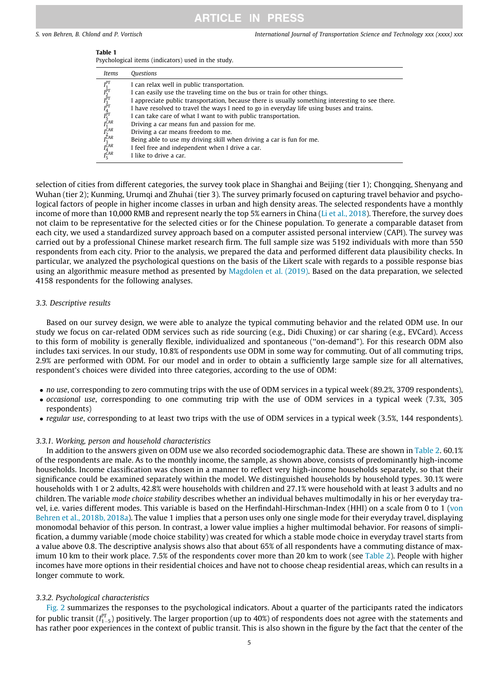<span id="page-4-0"></span>S. von Behren, B. Chlond and P. Vortisch International Journal of Transportation Science and Technology xxx (xxxx) xxx

| I |
|---|
|---|

Psychological items (indicators) used in the study.

| Items                                                                                                                                                             | <i><b>Ouestions</b></i>                                                                          |
|-------------------------------------------------------------------------------------------------------------------------------------------------------------------|--------------------------------------------------------------------------------------------------|
|                                                                                                                                                                   | I can relax well in public transportation.                                                       |
| $\begin{array}{l} I_1^P1_{T}^T\\ I_2^P1_{3}^T1_{4}^T\\ I_3^P1_{4}^T1_{5}^T1_{6}^T1_{7}^T\\ I_2^C1_{7}^T1_{7}^T1_{8}^T1_{8}^T\\ I_3^C1_{4}^T1_{5}^T\\ \end{array}$ | I can easily use the traveling time on the bus or train for other things.                        |
|                                                                                                                                                                   | I appreciate public transportation, because there is usually something interesting to see there. |
|                                                                                                                                                                   | I have resolved to travel the ways I need to go in everyday life using buses and trains.         |
|                                                                                                                                                                   | I can take care of what I want to with public transportation.                                    |
|                                                                                                                                                                   | Driving a car means fun and passion for me.                                                      |
|                                                                                                                                                                   | Driving a car means freedom to me.                                                               |
|                                                                                                                                                                   | Being able to use my driving skill when driving a car is fun for me.                             |
|                                                                                                                                                                   | I feel free and independent when I drive a car.                                                  |
|                                                                                                                                                                   | I like to drive a car.                                                                           |

selection of cities from different categories, the survey took place in Shanghai and Beijing (tier 1); Chongqing, Shenyang and Wuhan (tier 2); Kunming, Urumqi and Zhuhai (tier 3). The survey primarly focused on capturing travel behavior and psychological factors of people in higher income classes in urban and high density areas. The selected respondents have a monthly income of more than 10,000 RMB and represent nearly the top 5% earners in China ([Li et al., 2018\)](#page-13-0). Therefore, the survey does not claim to be representative for the selected cities or for the Chinese population. To generate a comparable dataset from each city, we used a standardized survey approach based on a computer assisted personal interview (CAPI). The survey was carried out by a professional Chinese market research firm. The full sample size was 5192 individuals with more than 550 respondents from each city. Prior to the analysis, we prepared the data and performed different data plausibility checks. In particular, we analyzed the psychological questions on the basis of the Likert scale with regards to a possible response bias using an algorithmic measure method as presented by [Magdolen et al. \(2019\)](#page-13-0). Based on the data preparation, we selected 4158 respondents for the following analyses.

### 3.3. Descriptive results

Based on our survey design, we were able to analyze the typical commuting behavior and the related ODM use. In our study we focus on car-related ODM services such as ride sourcing (e.g., Didi Chuxing) or car sharing (e.g., EVCard). Access to this form of mobility is generally flexible, individualized and spontaneous (''on-demand"). For this research ODM also includes taxi services. In our study, 10.8% of respondents use ODM in some way for commuting. Out of all commuting trips, 2.9% are performed with ODM. For our model and in order to obtain a sufficiently large sample size for all alternatives, respondent's choices were divided into three categories, according to the use of ODM:

- no use, corresponding to zero commuting trips with the use of ODM services in a typical week (89.2%, 3709 respondents),
- occasional use, corresponding to one commuting trip with the use of ODM services in a typical week (7.3%, 305 respondents)
- regular use, corresponding to at least two trips with the use of ODM services in a typical week (3.5%, 144 respondents).

### 3.3.1. Working, person and household characteristics

In addition to the answers given on ODM use we also recorded sociodemographic data. These are shown in [Table 2.](#page-5-0) 60.1% of the respondents are male. As to the monthly income, the sample, as shown above, consists of predominantly high-income households. Income classification was chosen in a manner to reflect very high-income households separately, so that their significance could be examined separately within the model. We distinguished households by household types. 30.1% were households with 1 or 2 adults, 42.8% were households with children and 27.1% were household with at least 3 adults and no children. The variable mode choice stability describes whether an individual behaves multimodally in his or her everyday travel, i.e. varies different modes. This variable is based on the Herfindahl-Hirschman-Index (HHI) on a scale from 0 to 1 [\(von](#page-13-0) [Behren et al., 2018b, 2018a\)](#page-13-0). The value 1 implies that a person uses only one single mode for their everyday travel, displaying monomodal behavior of this person. In contrast, a lower value implies a higher multimodal behavior. For reasons of simplification, a dummy variable (mode choice stability) was created for which a stable mode choice in everyday travel starts from a value above 0.8. The descriptive analysis shows also that about 65% of all respondents have a commuting distance of max-imum 10 km to their work place. 7.5% of the respondents cover more than 20 km to work (see [Table 2](#page-5-0)). People with higher incomes have more options in their residential choices and have not to choose cheap residential areas, which can results in a longer commute to work.

### 3.3.2. Psychological characteristics

[Fig. 2](#page-5-0) summarizes the responses to the psychological indicators. About a quarter of the participants rated the indicators for public transit ( $I_{1-5}^{PT}$ ) positively. The larger proportion (up to 40%) of respondents does not agree with the statements and<br>has nather near eveningses in the sentevt of public transit. This is also shown in the f has rather poor experiences in the context of public transit. This is also shown in the figure by the fact that the center of the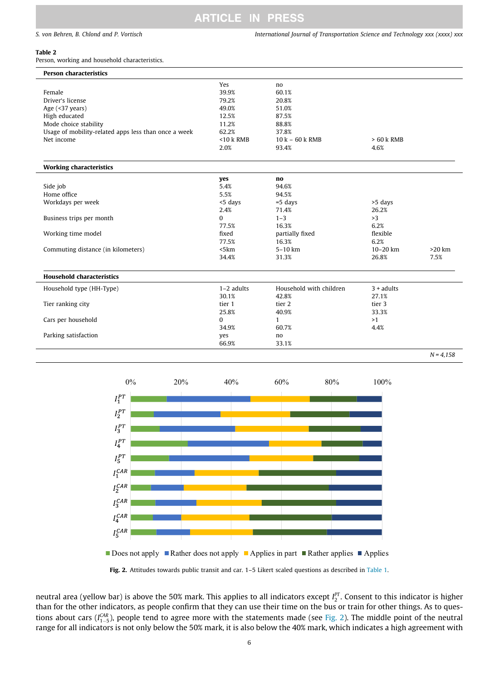<span id="page-5-0"></span>S. von Behren, B. Chlond and P. Vortisch International Journal of Transportation Science and Technology xxx (xxxx) xxx

### Table 2

Person, working and household characteristics.

| <b>Person characteristics</b>                        |              |                         |              |          |
|------------------------------------------------------|--------------|-------------------------|--------------|----------|
|                                                      | Yes          | no                      |              |          |
| Female                                               | 39.9%        | 60.1%                   |              |          |
| Driver's license                                     | 79.2%        | 20.8%                   |              |          |
| Age (<37 years)                                      | 49.0%        | 51.0%                   |              |          |
| High educated                                        | 12.5%        | 87.5%                   |              |          |
| Mode choice stability                                | 11.2%        | 88.8%                   |              |          |
| Usage of mobility-related apps less than once a week | 62.2%        | 37.8%                   |              |          |
| Net income                                           | $<$ 10 k RMB | $10 k - 60 k$ RMB       | $> 60 k$ RMB |          |
|                                                      | 2.0%         | 93.4%                   | 4.6%         |          |
|                                                      |              |                         |              |          |
| <b>Working characteristics</b>                       |              |                         |              |          |
|                                                      | ves          | no                      |              |          |
| Side job                                             | 5.4%         | 94.6%                   |              |          |
| Home office                                          | 5.5%         | 94.5%                   |              |          |
| Workdays per week                                    | <5 days      | $=5$ days               | >5 days      |          |
|                                                      | 2.4%         | 71.4%                   | 26.2%        |          |
| Business trips per month                             | $\Omega$     | $1 - 3$                 | >3           |          |
|                                                      | 77.5%        | 16.3%                   | 6.2%         |          |
| Working time model                                   | fixed        | partially fixed         | flexible     |          |
|                                                      | 77.5%        | 16.3%                   | 6.2%         |          |
| Commuting distance (in kilometers)                   | 5km          | 5-10 km                 | $10 - 20$ km | $>20$ km |
|                                                      | 34.4%        | 31.3%                   | 26.8%        | 7.5%     |
|                                                      |              |                         |              |          |
| <b>Household characteristics</b>                     |              |                         |              |          |
| Household type (HH-Type)                             | $1-2$ adults | Household with children | $3 + adults$ |          |
|                                                      | 30.1%        | 42.8%                   | 27.1%        |          |
| Tier ranking city                                    | tier 1       | tier 2                  | tier 3       |          |
|                                                      | 25.8%        | 40.9%                   | 33.3%        |          |
| Cars per household                                   | $\Omega$     | 1                       | >1           |          |
|                                                      | 34.9%        | 60.7%                   | 4.4%         |          |
| Parking satisfaction                                 | yes          | no                      |              |          |
|                                                      | 66.9%        | 33.1%                   |              |          |



Does not apply **Rather does not apply Applies in part Rather applies Applies** 



neutral area (yellow bar) is above the 50% mark. This applies to all indicators except  $I_2^{PT}$ . Consent to this indicator is higher than for the other indicators, as people confirm that they can use their time on the bus or train for other things. As to questions about cars ( $I_{1-5}^{CAR}$ ), people tend to agree more with the statements made (see Fig. 2). The middle point of the neutral<br>names for all indicators is not only below the 50% mark, it is also below the 40% mark, whi range for all indicators is not only below the 50% mark, it is also below the 40% mark, which indicates a high agreement with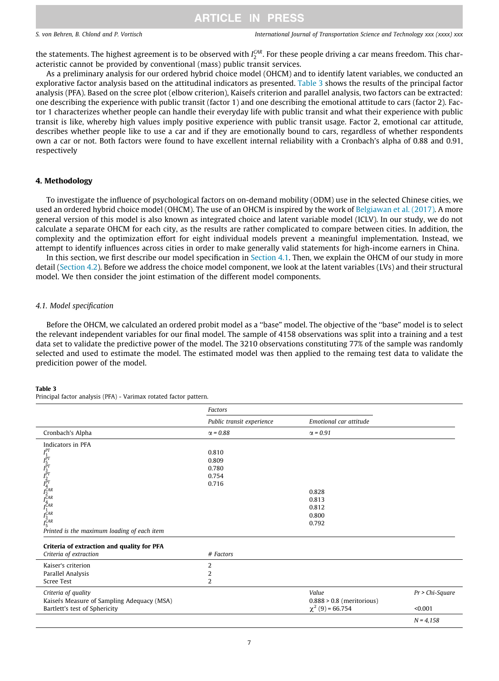S. von Behren, B. Chlond and P. Vortisch International Journal of Transportation Science and Technology xxx (xxxx) xxx

the statements. The highest agreement is to be observed with  $I_2^{\text{CAR}}$ . For these people driving a car means freedom. This characteristic cannot be provided by conventional (mass) public transit services.

As a preliminary analysis for our ordered hybrid choice model (OHCM) and to identify latent variables, we conducted an explorative factor analysis based on the attitudinal indicators as presented. Table 3 shows the results of the principal factor analysis (PFA). Based on the scree plot (elbow criterion), Kaisefs criterion and parallel analysis, two factors can be extracted: one describing the experience with public transit (factor 1) and one describing the emotional attitude to cars (factor 2). Factor 1 characterizes whether people can handle their everyday life with public transit and what their experience with public transit is like, whereby high values imply positive experience with public transit usage. Factor 2, emotional car attitude, describes whether people like to use a car and if they are emotionally bound to cars, regardless of whether respondents own a car or not. Both factors were found to have excellent internal reliability with a Cronbach's alpha of 0.88 and 0.91, respectively

### 4. Methodology

To investigate the influence of psychological factors on on-demand mobility (ODM) use in the selected Chinese cities, we used an ordered hybrid choice model (OHCM). The use of an OHCM is inspired by the work of [Belgiawan et al. \(2017\)](#page-12-0). A more general version of this model is also known as integrated choice and latent variable model (ICLV). In our study, we do not calculate a separate OHCM for each city, as the results are rather complicated to compare between cities. In addition, the complexity and the optimization effort for eight individual models prevent a meaningful implementation. Instead, we attempt to identify influences across cities in order to make generally valid statements for high-income earners in China.

In this section, we first describe our model specification in Section 4.1. Then, we explain the OHCM of our study in more detail [\(Section 4.2](#page-8-0)). Before we address the choice model component, we look at the latent variables (LVs) and their structural model. We then consider the joint estimation of the different model components.

### 4.1. Model specification

Before the OHCM, we calculated an ordered probit model as a ''base" model. The objective of the ''base" model is to select the relevant independent variables for our final model. The sample of 4158 observations was split into a training and a test data set to validate the predictive power of the model. The 3210 observations constituting 77% of the sample was randomly selected and used to estimate the model. The estimated model was then applied to the remaing test data to validate the predicition power of the model.

#### Table 3

Principal factor analysis (PFA) - Varimax rotated factor pattern.

|                                                                                                                           | Factors                   |                             |                 |
|---------------------------------------------------------------------------------------------------------------------------|---------------------------|-----------------------------|-----------------|
|                                                                                                                           | Public transit experience | Emotional car attitude      |                 |
| Cronbach's Alpha                                                                                                          | $\alpha = 0.88$           | $\alpha$ = 0.91             |                 |
| Indicators in PFA                                                                                                         |                           |                             |                 |
| $I_1^{PT}$<br>$I_2^{PT}$ $I_3^{PT}$ $I_4^{PT}$<br>$I_4^{CAR}$<br>$I_4^{CAR}$<br>$I_4^{CAR}$<br>$I_5^{CAR}$<br>$I_5^{CAR}$ | 0.810                     |                             |                 |
|                                                                                                                           | 0.809                     |                             |                 |
|                                                                                                                           | 0.780                     |                             |                 |
|                                                                                                                           | 0.754                     |                             |                 |
|                                                                                                                           | 0.716                     |                             |                 |
|                                                                                                                           |                           | 0.828                       |                 |
|                                                                                                                           |                           | 0.813                       |                 |
|                                                                                                                           |                           | 0.812                       |                 |
|                                                                                                                           |                           | 0.800                       |                 |
|                                                                                                                           |                           | 0.792                       |                 |
| Printed is the maximum loading of each item                                                                               |                           |                             |                 |
|                                                                                                                           |                           |                             |                 |
| Criteria of extraction and quality for PFA                                                                                |                           |                             |                 |
| Criteria of extraction                                                                                                    | # Factors                 |                             |                 |
| Kaiser's criterion                                                                                                        | 2                         |                             |                 |
| Parallel Analysis                                                                                                         | 2                         |                             |                 |
| Scree Test                                                                                                                | $\overline{2}$            |                             |                 |
| Criteria of quality                                                                                                       |                           | Value                       | Pr > Chi-Square |
| Kaisefs Measure of Sampling Adequacy (MSA)                                                                                |                           | $0.888 > 0.8$ (meritorious) |                 |
| Bartlett's test of Sphericity                                                                                             |                           | $\chi^2$ (9) = 66.754       | < 0.001         |
|                                                                                                                           |                           |                             | $N = 4.158$     |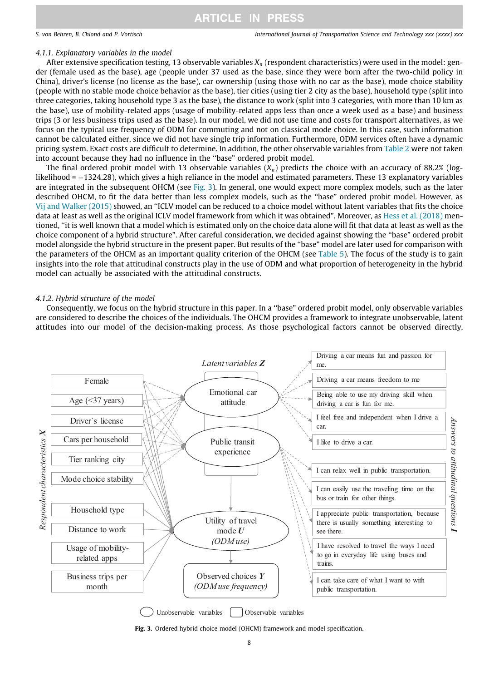### <span id="page-7-0"></span>4.1.1. Explanatory variables in the model

After extensive specification testing, 13 observable variables  $X_n$  (respondent characteristics) were used in the model: gender (female used as the base), age (people under 37 used as the base, since they were born after the two-child policy in China), driver's license (no license as the base), car ownership (using those with no car as the base), mode choice stability (people with no stable mode choice behavior as the base), tier cities (using tier 2 city as the base), household type (split into three categories, taking household type 3 as the base), the distance to work (split into 3 categories, with more than 10 km as the base), use of mobility-related apps (usage of mobility-related apps less than once a week used as a base) and business trips (3 or less business trips used as the base). In our model, we did not use time and costs for transport alternatives, as we focus on the typical use frequency of ODM for commuting and not on classical mode choice. In this case, such information cannot be calculated either, since we did not have single trip information. Furthermore, ODM services often have a dynamic pricing system. Exact costs are difficult to determine. In addition, the other observable variables from [Table 2](#page-5-0) were not taken into account because they had no influence in the ''base" ordered probit model.

The final ordered probit model with 13 observable variables  $(X_n)$  predicts the choice with an accuracy of 88.2% (loglikelihood = -1324.28), which gives a high reliance in the model and estimated parameters. These 13 explanatory variables are integrated in the subsequent OHCM (see Fig. 3). In general, one would expect more complex models, such as the later described OHCM, to fit the data better than less complex models, such as the ''base" ordered probit model. However, as [Vij and Walker \(2015\)](#page-13-0) showed, an ''ICLV model can be reduced to a choice model without latent variables that fits the choice data at least as well as the original ICLV model framework from which it was obtained". Moreover, as [Hess et al. \(2018\)](#page-12-0) mentioned, ''it is well known that a model which is estimated only on the choice data alone will fit that data at least as well as the choice component of a hybrid structure". After careful consideration, we decided against showing the ''base" ordered probit model alongside the hybrid structure in the present paper. But results of the ''base" model are later used for comparison with the parameters of the OHCM as an important quality criterion of the OHCM (see [Table 5\)](#page-10-0). The focus of the study is to gain insights into the role that attitudinal constructs play in the use of ODM and what proportion of heterogeneity in the hybrid model can actually be associated with the attitudinal constructs.

### 4.1.2. Hybrid structure of the model

Consequently, we focus on the hybrid structure in this paper. In a ''base" ordered probit model, only observable variables are considered to describe the choices of the individuals. The OHCM provides a framework to integrate unobservable, latent attitudes into our model of the decision-making process. As those psychological factors cannot be observed directly,



Unobservable variables Observable variables

Fig. 3. Ordered hybrid choice model (OHCM) framework and model specification.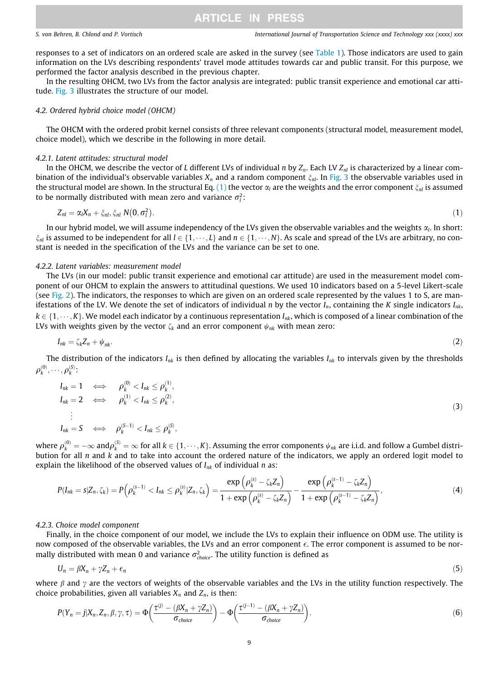<span id="page-8-0"></span>responses to a set of indicators on an ordered scale are asked in the survey (see [Table 1](#page-4-0)). Those indicators are used to gain information on the LVs describing respondents' travel mode attitudes towards car and public transit. For this purpose, we performed the factor analysis described in the previous chapter.

In the resulting OHCM, two LVs from the factor analysis are integrated: public transit experience and emotional car attitude. [Fig. 3](#page-7-0) illustrates the structure of our model.

### 4.2. Ordered hybrid choice model (OHCM)

The OHCM with the ordered probit kernel consists of three relevant components (structural model, measurement model, choice model), which we describe in the following in more detail.

### 4.2.1. Latent attitudes: structural model

In the OHCM, we describe the vector of L different LVs of individual n by  $Z_n$ . Each LV  $Z_{nl}$  is characterized by a linear combination of the individual's observable variables  $X_n$  and a random component  $\xi_{nl}$ . In [Fig. 3](#page-7-0) the observable variables used in the structural model are shown. In the structural Eq. (1) the vector  $\alpha_l$  are the weights and the error component  $\xi_{nl}$  is assumed to be normally distributed with mean zero and variance  $\sigma_l^2$ :

$$
Z_{nl} = \alpha_l X_n + \xi_{nl}, \xi_{nl} N(0, \sigma_l^2).
$$
 (1)

In our hybrid model, we will assume independency of the LVs given the observable variables and the weights  $\alpha$ . In short:  $\xi_{nl}$  is assumed to be independent for all  $l \in \{1, \dots, L\}$  and  $n \in \{1, \dots, N\}$ . As scale and spread of the LVs are arbitrary, no constant is needed in the specification of the LVs and the variance can be set to one.

### 4.2.2. Latent variables: measurement model

The LVs (in our model: public transit experience and emotional car attitude) are used in the measurement model component of our OHCM to explain the answers to attitudinal questions. We used 10 indicators based on a 5-level Likert-scale (see [Fig. 2\)](#page-5-0). The indicators, the responses to which are given on an ordered scale represented by the values 1 to S, are manifestations of the LV. We denote the set of indicators of individual n by the vector  $I_n$ , containing the K single indicators  $I_{nk}$ ,  $k \in \{1, \dots, K\}$ . We model each indicator by a continuous representation  $I_{nk}$ , which is composed of a linear combination of the LVs with weights given by the vector  $\zeta_k$  and an error component  $\psi_{nk}$  with mean zero:

$$
I_{nk} = \zeta_k Z_n + \psi_{nk}.\tag{2}
$$

The distribution of the indicators  $I_{nk}$  is then defined by allocating the variables  $I_{nk}$  to intervals given by the thresholds  $\rho_k^{(0)}, \cdots, \rho_k^{(S)}$ :

$$
I_{nk} = 1 \iff \rho_k^{(0)} < I_{nk} \le \rho_k^{(1)},
$$
\n
$$
I_{nk} = 2 \iff \rho_k^{(1)} < I_{nk} \le \rho_k^{(2)},
$$
\n
$$
\vdots
$$
\n
$$
I_{nk} = S \iff \rho_k^{(S-1)} < I_{nk} \le \rho_k^{(S)},
$$
\n
$$
(3)
$$

where  $\rho_k^{(0)} = -\infty$  and  $\rho_k^{(S)} = \infty$  for all  $k \in \{1, \dots, K\}$ . Assuming the error components  $\psi_{nk}$  are i.i.d. and follow a Gumbel distri-<br>bution for all n and k and to take into account the ordered nature of the indica bution for all  $n$  and  $k$  and to take into account the ordered nature of the indicators, we apply an ordered logit model to explain the likelihood of the observed values of  $I_{nk}$  of individual n as:

$$
P(I_{nk} = s | Z_n, \zeta_k) = P\left(\rho_k^{(s-1)} < I_{nk} \le \rho_k^{(s)} | Z_n, \zeta_k\right) = \frac{\exp\left(\rho_k^{(s)} - \zeta_k Z_n\right)}{1 + \exp\left(\rho_k^{(s)} - \zeta_k Z_n\right)} - \frac{\exp\left(\rho_k^{(s-1)} - \zeta_k Z_n\right)}{1 + \exp\left(\rho_k^{(s-1)} - \zeta_k Z_n\right)},\tag{4}
$$

### 4.2.3. Choice model component

Finally, in the choice component of our model, we include the LVs to explain their influence on ODM use. The utility is now composed of the observable variables, the LVs and an error component  $\epsilon$ . The error component is assumed to be normally distributed with mean 0 and variance  $\sigma_{choice}^2$ . The utility function is defined as

$$
U_n = \beta X_n + \gamma Z_n + \epsilon_n \tag{5}
$$

where  $\beta$  and  $\gamma$  are the vectors of weights of the observable variables and the LVs in the utility function respectively. The choice probabilities, given all variables  $X_n$  and  $Z_n$ , is then:

$$
P(Y_n = j | X_n, Z_n, \beta, \gamma, \tau) = \Phi\left(\frac{\tau^{(j)} - (\beta X_n + \gamma Z_n)}{\sigma_{choice}}\right) - \Phi\left(\frac{\tau^{(j-1)} - (\beta X_n + \gamma Z_n)}{\sigma_{choice}}\right). \tag{6}
$$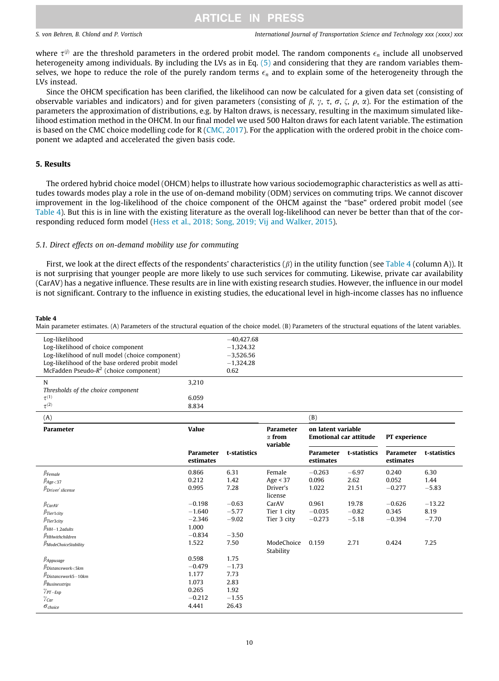<span id="page-9-0"></span>where  $\tau^{(j)}$  are the threshold parameters in the ordered probit model. The random components  $\epsilon_n$  include all unobserved heterogeneity among individuals. By including the LVs as in Eq. [\(5\)](#page-8-0) and considering that they are random variables themselves, we hope to reduce the role of the purely random terms  $\epsilon_n$  and to explain some of the heterogeneity through the LVs instead.

Since the OHCM specification has been clarified, the likelihood can now be calculated for a given data set (consisting of observable variables and indicators) and for given parameters (consisting of  $\beta$ ,  $\gamma$ ,  $\tau$ ,  $\sigma$ ,  $\zeta$ ,  $\rho$ ,  $\alpha$ ). For the estimation of the parameters the approximation of distributions, e.g. by Halton draws, is necessary, resulting in the maximum simulated likelihood estimation method in the OHCM. In our final model we used 500 Halton draws for each latent variable. The estimation is based on the CMC choice modelling code for R [\(CMC, 2017\)](#page-12-0). For the application with the ordered probit in the choice component we adapted and accelerated the given basis code.

### 5. Results

The ordered hybrid choice model (OHCM) helps to illustrate how various sociodemographic characteristics as well as attitudes towards modes play a role in the use of on-demand mobility (ODM) services on commuting trips. We cannot discover improvement in the log-likelihood of the choice component of the OHCM against the ''base" ordered probit model (see Table 4). But this is in line with the existing literature as the overall log-likelihood can never be better than that of the corresponding reduced form model [\(Hess et al., 2018; Song, 2019; Vij and Walker, 2015](#page-12-0)).

### 5.1. Direct effects on on-demand mobility use for commuting

First, we look at the direct effects of the respondents' characteristics  $(\beta)$  in the utility function (see Table 4 (column A)). It is not surprising that younger people are more likely to use such services for commuting. Likewise, private car availability (CarAV) has a negative influence. These results are in line with existing research studies. However, the influence in our model is not significant. Contrary to the influence in existing studies, the educational level in high-income classes has no influence

#### Table 4

Main parameter estimates. (A) Parameters of the structural equation of the choice model. (B) Parameters of the structural equations of the latent variables.

| Log-likelihood                                  |       | $-40.427.68$ |        |  |
|-------------------------------------------------|-------|--------------|--------|--|
| Log-likelihood of choice component              |       | $-1.324.32$  |        |  |
| Log-likelihood of null model (choice component) |       | $-3,526.56$  |        |  |
| Log-likelihood of the base ordered probit model |       | $-1.324.28$  |        |  |
| McFadden Pseudo- $R^2$ (choice component)       |       | 0.62         |        |  |
| N                                               | 3.210 |              |        |  |
| Thresholds of the choice component              |       |              |        |  |
| $\tau^{(1)}$                                    | 6.059 |              |        |  |
| $\tau^{(2)}$                                    | 8.834 |              |        |  |
| $\lambda$                                       |       |              | $\sim$ |  |

| (A)                                                                                                                                                                      |                                                                   |                                                             |                                                   | (B)                                                 |                                     |                                        |                                     |
|--------------------------------------------------------------------------------------------------------------------------------------------------------------------------|-------------------------------------------------------------------|-------------------------------------------------------------|---------------------------------------------------|-----------------------------------------------------|-------------------------------------|----------------------------------------|-------------------------------------|
| Parameter                                                                                                                                                                | Value                                                             |                                                             | Parameter<br>$\alpha$ from<br>variable            | on latent variable<br><b>Emotional car attitude</b> |                                     | PT experience                          |                                     |
|                                                                                                                                                                          | Parameter<br>estimates                                            | t-statistics                                                |                                                   | Parameter<br>estimates                              | t-statistics                        | Parameter<br>estimates                 | t-statistics                        |
| $\beta$ Female<br>$\beta_{Age < 37}$<br>$\beta_{Diriver's license}$                                                                                                      | 0.866<br>0.212<br>0.995                                           | 6.31<br>1.42<br>7.28                                        | Female<br>Age $<$ 37<br>Driver's<br>license       | $-0.263$<br>0.096<br>1.022                          | $-6.97$<br>2.62<br>21.51            | 0.240<br>0.052<br>$-0.277$             | 6.30<br>1.44<br>$-5.83$             |
| $\beta$ CarAV<br>$\beta$ Tier1city<br>$\beta$ Tier3city<br>$\beta$ HH $-1,$ 2adults<br><b>PHHwithchildren</b><br>$\beta$ ModeChoiceStability                             | $-0.198$<br>$-1.640$<br>$-2.346$<br>1.000<br>$-0.834$<br>1.522    | $-0.63$<br>$-5.77$<br>$-9.02$<br>$-3.50$<br>7.50            | CarAV<br>Tier 1 city<br>Tier 3 city<br>ModeChoice | 0.961<br>$-0.035$<br>$-0.273$<br>0.159              | 19.78<br>$-0.82$<br>$-5.18$<br>2.71 | $-0.626$<br>0.345<br>$-0.394$<br>0.424 | $-13.22$<br>8.19<br>$-7.70$<br>7.25 |
| $\beta$ Appusage<br>$\beta$ Distancework<5km<br>$\beta$ Distancework5-10km<br>$\beta$ Businesstrips<br>$\gamma_{PT-Exp}$<br>$\gamma_{\mathit{Car}}$<br>$\sigma_{choice}$ | 0.598<br>$-0.479$<br>1.177<br>1.073<br>0.265<br>$-0.212$<br>4.441 | 1.75<br>$-1.73$<br>7.73<br>2.83<br>1.92<br>$-1.55$<br>26.43 | Stability                                         |                                                     |                                     |                                        |                                     |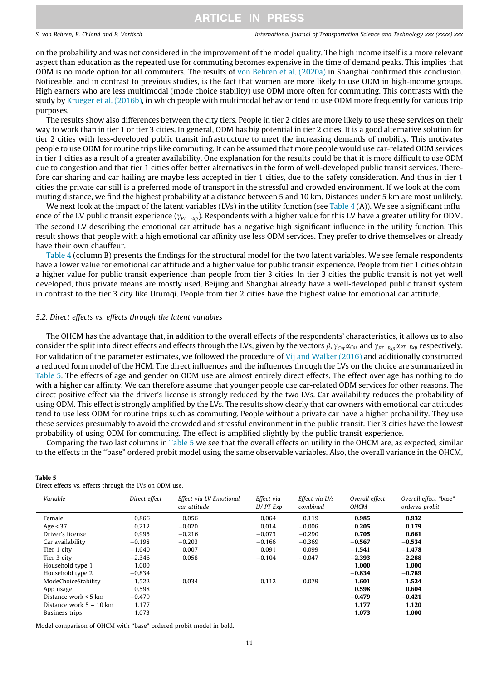### <span id="page-10-0"></span>S. von Behren, B. Chlond and P. Vortisch International Journal of Transportation Science and Technology xxx (xxxx) xxx

on the probability and was not considered in the improvement of the model quality. The high income itself is a more relevant aspect than education as the repeated use for commuting becomes expensive in the time of demand peaks. This implies that ODM is no mode option for all commuters. The results of [von Behren et al. \(2020a\)](#page-13-0) in Shanghai confirmed this conclusion. Noticeable, and in contrast to previous studies, is the fact that women are more likely to use ODM in high-income groups. High earners who are less multimodal (mode choice stability) use ODM more often for commuting. This contrasts with the study by [Krueger et al. \(2016b\),](#page-13-0) in which people with multimodal behavior tend to use ODM more frequently for various trip purposes.

The results show also differences between the city tiers. People in tier 2 cities are more likely to use these services on their way to work than in tier 1 or tier 3 cities. In general, ODM has big potential in tier 2 cities. It is a good alternative solution for tier 2 cities with less-developed public transit infrastructure to meet the increasing demands of mobility. This motivates people to use ODM for routine trips like commuting. It can be assumed that more people would use car-related ODM services in tier 1 cities as a result of a greater availability. One explanation for the results could be that it is more difficult to use ODM due to congestion and that tier 1 cities offer better alternatives in the form of well-developed public transit services. Therefore car sharing and car hailing are maybe less accepted in tier 1 cities, due to the safety consideration. And thus in tier 1 cities the private car still is a preferred mode of transport in the stressful and crowded environment. If we look at the commuting distance, we find the highest probability at a distance between 5 and 10 km. Distances under 5 km are most unlikely.

We next look at the impact of the latent variables (LVs) in the utility function (see [Table 4](#page-9-0) (A)). We see a significant influence of the LV public transit experience ( $\gamma_{PT-Exp}$ ). Respondents with a higher value for this LV have a greater utility for ODM. The second LV describing the emotional car attitude has a negative high significant influence in the utility function. This result shows that people with a high emotional car affinity use less ODM services. They prefer to drive themselves or already have their own chauffeur.

[Table 4](#page-9-0) (column B) presents the findings for the structural model for the two latent variables. We see female respondents have a lower value for emotional car attitude and a higher value for public transit experience. People from tier 1 cities obtain a higher value for public transit experience than people from tier 3 cities. In tier 3 cities the public transit is not yet well developed, thus private means are mostly used. Beijing and Shanghai already have a well-developed public transit system in contrast to the tier 3 city like Urumqi. People from tier 2 cities have the highest value for emotional car attitude.

### 5.2. Direct effects vs. effects through the latent variables

The OHCM has the advantage that, in addition to the overall effects of the respondents' characteristics, it allows us to also consider the split into direct effects and effects through the LVs, given by the vectors  $\beta$ ,  $\gamma_{\text{Car}} \alpha_{\text{Car}} \alpha_{\text{Car}} \alpha_{\text{PT-Exp}}$  respectively. For validation of the parameter estimates, we followed the procedure of [Vij and Walker \(2016\)](#page-13-0) and additionally constructed a reduced form model of the HCM. The direct influences and the influences through the LVs on the choice are summarized in Table 5. The effects of age and gender on ODM use are almost entirely direct effects. The effect over age has nothing to do with a higher car affinity. We can therefore assume that younger people use car-related ODM services for other reasons. The direct positive effect via the driver's license is strongly reduced by the two LVs. Car availability reduces the probability of using ODM. This effect is strongly amplified by the LVs. The results show clearly that car owners with emotional car attitudes tend to use less ODM for routine trips such as commuting. People without a private car have a higher probability. They use these services presumably to avoid the crowded and stressful environment in the public transit. Tier 3 cities have the lowest probability of using ODM for commuting. The effect is amplified slightly by the public transit experience.

Comparing the two last columns in Table 5 we see that the overall effects on utility in the OHCM are, as expected, similar to the effects in the ''base" ordered probit model using the same observable variables. Also, the overall variance in the OHCM,

| Variable                  | Direct effect | Effect via LV Emotional<br>car attitude | Effect via<br>LV PT Exp | Effect via LVs<br>combined | Overall effect<br>OHCM | Overall effect "base"<br>ordered probit |
|---------------------------|---------------|-----------------------------------------|-------------------------|----------------------------|------------------------|-----------------------------------------|
| Female                    | 0.866         | 0.056                                   | 0.064                   | 0.119                      | 0.985                  | 0.932                                   |
| Age $<$ 37                | 0.212         | $-0.020$                                | 0.014                   | $-0.006$                   | 0.205                  | 0.179                                   |
| Driver's license          | 0.995         | $-0.216$                                | $-0.073$                | $-0.290$                   | 0.705                  | 0.661                                   |
| Car availability          | $-0.198$      | $-0.203$                                | $-0.166$                | $-0.369$                   | $-0.567$               | $-0.534$                                |
| Tier 1 city               | $-1.640$      | 0.007                                   | 0.091                   | 0.099                      | $-1.541$               | $-1.478$                                |
| Tier 3 city               | $-2.346$      | 0.058                                   | $-0.104$                | $-0.047$                   | $-2.393$               | $-2.288$                                |
| Household type 1          | 1.000         |                                         |                         |                            | 1.000                  | 1.000                                   |
| Household type 2          | $-0.834$      |                                         |                         |                            | $-0.834$               | $-0.789$                                |
| ModeChoiceStability       | 1.522         | $-0.034$                                | 0.112                   | 0.079                      | 1.601                  | 1.524                                   |
| App usage                 | 0.598         |                                         |                         |                            | 0.598                  | 0.604                                   |
| Distance work $\leq$ 5 km | $-0.479$      |                                         |                         |                            | $-0.479$               | $-0.421$                                |
| Distance work $5 - 10$ km | 1.177         |                                         |                         |                            | 1.177                  | 1.120                                   |
| Business trips            | 1.073         |                                         |                         |                            | 1.073                  | 1.000                                   |

Direct effects vs. effects through the LVs on ODM use.

Table 5

Model comparison of OHCM with ''base" ordered probit model in bold.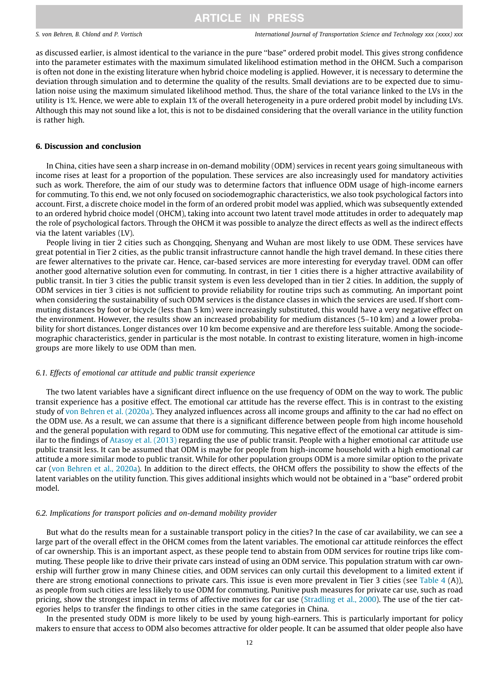as discussed earlier, is almost identical to the variance in the pure ''base" ordered probit model. This gives strong confidence into the parameter estimates with the maximum simulated likelihood estimation method in the OHCM. Such a comparison is often not done in the existing literature when hybrid choice modeling is applied. However, it is necessary to determine the deviation through simulation and to determine the quality of the results. Small deviations are to be expected due to simulation noise using the maximum simulated likelihood method. Thus, the share of the total variance linked to the LVs in the utility is 1%. Hence, we were able to explain 1% of the overall heterogeneity in a pure ordered probit model by including LVs. Although this may not sound like a lot, this is not to be disdained considering that the overall variance in the utility function is rather high.

### 6. Discussion and conclusion

In China, cities have seen a sharp increase in on-demand mobility (ODM) services in recent years going simultaneous with income rises at least for a proportion of the population. These services are also increasingly used for mandatory activities such as work. Therefore, the aim of our study was to determine factors that influence ODM usage of high-income earners for commuting. To this end, we not only focused on sociodemographic characteristics, we also took psychological factors into account. First, a discrete choice model in the form of an ordered probit model was applied, which was subsequently extended to an ordered hybrid choice model (OHCM), taking into account two latent travel mode attitudes in order to adequately map the role of psychological factors. Through the OHCM it was possible to analyze the direct effects as well as the indirect effects via the latent variables (LV).

People living in tier 2 cities such as Chongqing, Shenyang and Wuhan are most likely to use ODM. These services have great potential in Tier 2 cities, as the public transit infrastructure cannot handle the high travel demand. In these cities there are fewer alternatives to the private car. Hence, car-based services are more interesting for everyday travel. ODM can offer another good alternative solution even for commuting. In contrast, in tier 1 cities there is a higher attractive availability of public transit. In tier 3 cities the public transit system is even less developed than in tier 2 cities. In addition, the supply of ODM services in tier 3 cities is not sufficient to provide reliability for routine trips such as commuting. An important point when considering the sustainability of such ODM services is the distance classes in which the services are used. If short commuting distances by foot or bicycle (less than 5 km) were increasingly substituted, this would have a very negative effect on the environment. However, the results show an increased probability for medium distances (5–10 km) and a lower probability for short distances. Longer distances over 10 km become expensive and are therefore less suitable. Among the sociodemographic characteristics, gender in particular is the most notable. In contrast to existing literature, women in high-income groups are more likely to use ODM than men.

### 6.1. Effects of emotional car attitude and public transit experience

The two latent variables have a significant direct influence on the use frequency of ODM on the way to work. The public transit experience has a positive effect. The emotional car attitude has the reverse effect. This is in contrast to the existing study of [von Behren et al. \(2020a\).](#page-13-0) They analyzed influences across all income groups and affinity to the car had no effect on the ODM use. As a result, we can assume that there is a significant difference between people from high income household and the general population with regard to ODM use for commuting. This negative effect of the emotional car attitude is similar to the findings of [Atasoy et al. \(2013\)](#page-12-0) regarding the use of public transit. People with a higher emotional car attitude use public transit less. It can be assumed that ODM is maybe for people from high-income household with a high emotional car attitude a more similar mode to public transit. While for other population groups ODM is a more similar option to the private car [\(von Behren et al., 2020a\)](#page-13-0). In addition to the direct effects, the OHCM offers the possibility to show the effects of the latent variables on the utility function. This gives additional insights which would not be obtained in a ''base" ordered probit model.

### 6.2. Implications for transport policies and on-demand mobility provider

But what do the results mean for a sustainable transport policy in the cities? In the case of car availability, we can see a large part of the overall effect in the OHCM comes from the latent variables. The emotional car attitude reinforces the effect of car ownership. This is an important aspect, as these people tend to abstain from ODM services for routine trips like commuting. These people like to drive their private cars instead of using an ODM service. This population stratum with car ownership will further grow in many Chinese cities, and ODM services can only curtail this development to a limited extent if there are strong emotional connections to private cars. This issue is even more prevalent in Tier 3 cities (see [Table 4](#page-9-0) (A)), as people from such cities are less likely to use ODM for commuting. Punitive push measures for private car use, such as road pricing, show the strongest impact in terms of affective motives for car use ([Stradling et al., 2000\)](#page-13-0). The use of the tier categories helps to transfer the findings to other cities in the same categories in China.

In the presented study ODM is more likely to be used by young high-earners. This is particularly important for policy makers to ensure that access to ODM also becomes attractive for older people. It can be assumed that older people also have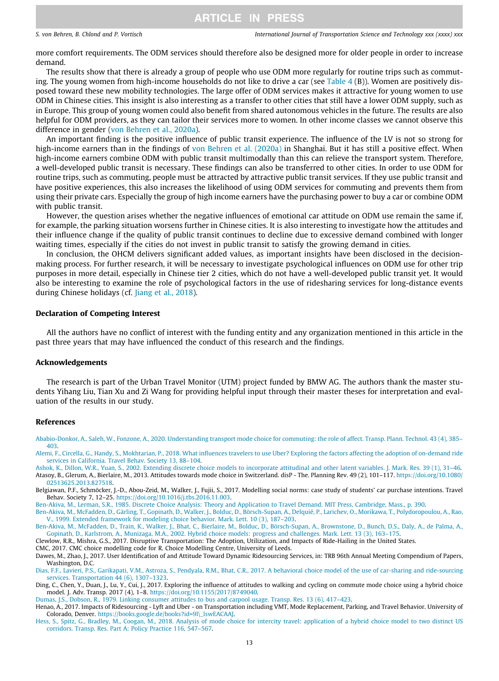<span id="page-12-0"></span>more comfort requirements. The ODM services should therefore also be designed more for older people in order to increase demand.

The results show that there is already a group of people who use ODM more regularly for routine trips such as commuting. The young women from high-income households do not like to drive a car (see Table  $4(B)$ ). Women are positively disposed toward these new mobility technologies. The large offer of ODM services makes it attractive for young women to use ODM in Chinese cities. This insight is also interesting as a transfer to other cities that still have a lower ODM supply, such as in Europe. This group of young women could also benefit from shared autonomous vehicles in the future. The results are also helpful for ODM providers, as they can tailor their services more to women. In other income classes we cannot observe this difference in gender [\(von Behren et al., 2020a](#page-13-0)).

An important finding is the positive influence of public transit experience. The influence of the LV is not so strong for high-income earners than in the findings of [von Behren et al. \(2020a\)](#page-13-0) in Shanghai. But it has still a positive effect. When high-income earners combine ODM with public transit multimodally than this can relieve the transport system. Therefore, a well-developed public transit is necessary. These findings can also be transferred to other cities. In order to use ODM for routine trips, such as commuting, people must be attracted by attractive public transit services. If they use public transit and have positive experiences, this also increases the likelihood of using ODM services for commuting and prevents them from using their private cars. Especially the group of high income earners have the purchasing power to buy a car or combine ODM with public transit.

However, the question arises whether the negative influences of emotional car attitude on ODM use remain the same if, for example, the parking situation worsens further in Chinese cities. It is also interesting to investigate how the attitudes and their influence change if the quality of public transit continues to decline due to excessive demand combined with longer waiting times, especially if the cities do not invest in public transit to satisfy the growing demand in cities.

In conclusion, the OHCM delivers significant added values, as important insights have been disclosed in the decisionmaking process. For further research, it will be necessary to investigate psychological influences on ODM use for other trip purposes in more detail, especially in Chinese tier 2 cities, which do not have a well-developed public transit yet. It would also be interesting to examine the role of psychological factors in the use of ridesharing services for long-distance events during Chinese holidays (cf. [Jiang et al., 2018\)](#page-13-0).

### Declaration of Competing Interest

All the authors have no conflict of interest with the funding entity and any organization mentioned in this article in the past three years that may have influenced the conduct of this research and the findings.

### Acknowledgements

The research is part of the Urban Travel Monitor (UTM) project funded by BMW AG. The authors thank the master students Yihang Liu, Tian Xu and Zi Wang for providing helpful input through their master theses for interpretation and evaluation of the results in our study.

### References

- [Ababio-Donkor, A., Saleh, W., Fonzone, A., 2020. Understanding transport mode choice for commuting: the role of affect. Transp. Plann. Technol. 43 \(4\), 385–](http://refhub.elsevier.com/S2046-0430(21)00015-0/h0005) [403](http://refhub.elsevier.com/S2046-0430(21)00015-0/h0005).
- [Alemi, F., Circella, G., Handy, S., Mokhtarian, P., 2018. What influences travelers to use Uber? Exploring the factors affecting the adoption of on-demand ride](http://refhub.elsevier.com/S2046-0430(21)00015-0/h0010) [services in California. Travel Behav. Society 13, 88–104.](http://refhub.elsevier.com/S2046-0430(21)00015-0/h0010)
- [Ashok, K., Dillon, W.R., Yuan, S., 2002. Extending discrete choice models to incorporate attitudinal and other latent variables. J. Mark. Res. 39 \(1\), 31–46.](http://refhub.elsevier.com/S2046-0430(21)00015-0/h0015) Atasoy, B., Glerum, A., Bierlaire, M., 2013. Attitudes towards mode choice in Switzerland. disP - The. Planning Rev. 49 (2), 101–117. [https://doi.org/10.1080/](https://doi.org/10.1080/02513625.2013.827518) [02513625.2013.827518.](https://doi.org/10.1080/02513625.2013.827518)
- Belgiawan, P.F., Schmöcker, J.-D., Abou-Zeid, M., Walker, J., Fujii, S., 2017. Modelling social norms: case study of students' car purchase intentions. Travel Behav. Society 7, 12–25. <https://doi.org/10.1016/j.tbs.2016.11.003>.

[Ben-Akiva, M., Lerman, S.R., 1985. Discrete Choice Analysis: Theory and Application to Travel Demand. MIT Press, Cambridge, Mass., p. 390.](http://refhub.elsevier.com/S2046-0430(21)00015-0/h0030)

[Ben-Akiva, M., McFadden, D., Gärling, T., Gopinath, D., Walker, J., Bolduc, D., Börsch-Supan, A., Delquié, P., Larichev, O., Morikawa, T., Polydoropoulou, A., Rao,](http://refhub.elsevier.com/S2046-0430(21)00015-0/h0035) [V., 1999. Extended framework for modeling choice behavior. Mark. Lett. 10 \(3\), 187–203.](http://refhub.elsevier.com/S2046-0430(21)00015-0/h0035)

Ben-Akiva, M., McFadden, D., Train, K., Walker, J., Bhat, C., Bierlaire, M., Bolduc, D., Börsch-Supan, A., Brownstone, D., Bunch, D.S., Daly, A., de Palma, A. [Gopinath, D., Karlstrom, A., Munizaga, M.A., 2002. Hybrid choice models: progress and challenges. Mark. Lett. 13 \(3\), 163–175.](http://refhub.elsevier.com/S2046-0430(21)00015-0/h0040)

Clewlow, R.R., Mishra, G.S., 2017. Disruptive Transportation: The Adoption, Utilization, and Impacts of Ride-Hailing in the United States.

CMC, 2017. CMC choice modelling code for R. Choice Modelling Centre, University of Leeds.

[Dias, F.F., Lavieri, P.S., Garikapati, V.M., Astroza, S., Pendyala, R.M., Bhat, C.R., 2017. A behavioral choice model of the use of car-sharing and ride-sourcing](http://refhub.elsevier.com/S2046-0430(21)00015-0/h0060) [services. Transportation 44 \(6\), 1307–1323.](http://refhub.elsevier.com/S2046-0430(21)00015-0/h0060)

Ding, C., Chen, Y., Duan, J., Lu, Y., Cui, J., 2017. Exploring the influence of attitudes to walking and cycling on commute mode choice using a hybrid choice model. J. Adv. Transp. 2017 (4), 1–8. [https://doi.org/10.1155/2017/8749040.](https://doi.org/10.1155/2017/8749040)

[Dumas, J.S., Dobson, R., 1979. Linking consumer attitudes to bus and carpool usage. Transp. Res. 13 \(6\), 417–423.](http://refhub.elsevier.com/S2046-0430(21)00015-0/h0070)

Henao, A., 2017. Impacts of Ridesourcing - Lyft and Uber - on Transportation including VMT, Mode Replacement, Parking, and Travel Behavior. University of Colorado, Denver. [https://books.google.de/books?id=9l\\\_lswEACAAJ](https://books.google.de/books%3fid%3d9l%5c_lswEACAAJ).

Dawes, M., Zhao, J., 2017. User Identification of and Attitude Toward Dynamic Ridesourcing Services, in: TRB 96th Annual Meeting Compendium of Papers, Washington, D.C.

[Hess, S., Spitz, G., Bradley, M., Coogan, M., 2018. Analysis of mode choice for intercity travel: application of a hybrid choice model to two distinct US](http://refhub.elsevier.com/S2046-0430(21)00015-0/h0080) [corridors. Transp. Res. Part A: Policy Practice 116, 547–567](http://refhub.elsevier.com/S2046-0430(21)00015-0/h0080).